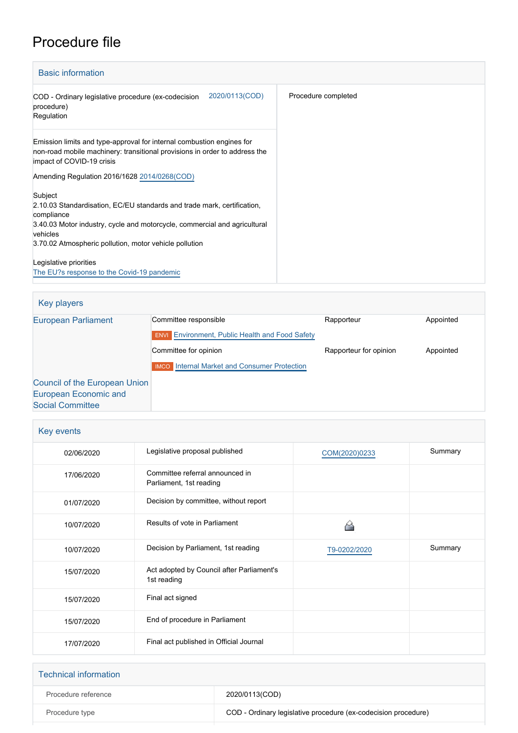# Procedure file

| <b>Basic information</b>                                                                                                                                                                                                                            |                     |
|-----------------------------------------------------------------------------------------------------------------------------------------------------------------------------------------------------------------------------------------------------|---------------------|
| 2020/0113(COD)<br>COD - Ordinary legislative procedure (ex-codecision<br>procedure)<br>Regulation                                                                                                                                                   | Procedure completed |
| Emission limits and type-approval for internal combustion engines for<br>non-road mobile machinery: transitional provisions in order to address the<br>impact of COVID-19 crisis                                                                    |                     |
| Amending Regulation 2016/1628 2014/0268(COD)                                                                                                                                                                                                        |                     |
| Subject<br>2.10.03 Standardisation, EC/EU standards and trade mark, certification,<br>compliance<br>3.40.03 Motor industry, cycle and motorcycle, commercial and agricultural<br>vehicles<br>3.70.02 Atmospheric pollution, motor vehicle pollution |                     |
| Legislative priorities<br>The EU?s response to the Covid-19 pandemic                                                                                                                                                                                |                     |

| Key players                                                   |                                                                                 |                        |           |
|---------------------------------------------------------------|---------------------------------------------------------------------------------|------------------------|-----------|
| <b>European Parliament</b>                                    | Committee responsible<br><b>ENVI</b> Environment, Public Health and Food Safety | Rapporteur             | Appointed |
|                                                               | Committee for opinion                                                           | Rapporteur for opinion | Appointed |
|                                                               | <b>IMCO</b> Internal Market and Consumer Protection                             |                        |           |
| Council of the European Union<br><b>European Economic and</b> |                                                                                 |                        |           |

[Social Committee](http://www.eesc.europa.eu/)

| Key events |                                                            |               |         |
|------------|------------------------------------------------------------|---------------|---------|
| 02/06/2020 | Legislative proposal published                             | COM(2020)0233 | Summary |
| 17/06/2020 | Committee referral announced in<br>Parliament, 1st reading |               |         |
| 01/07/2020 | Decision by committee, without report                      |               |         |
| 10/07/2020 | Results of vote in Parliament                              |               |         |
|            |                                                            |               |         |
| 10/07/2020 | Decision by Parliament, 1st reading                        | T9-0202/2020  | Summary |
| 15/07/2020 | Act adopted by Council after Parliament's<br>1st reading   |               |         |
| 15/07/2020 | Final act signed                                           |               |         |
| 15/07/2020 | End of procedure in Parliament                             |               |         |

| <b>Technical information</b> |                                                                |
|------------------------------|----------------------------------------------------------------|
| Procedure reference          | 2020/0113(COD)                                                 |
| Procedure type               | COD - Ordinary legislative procedure (ex-codecision procedure) |
|                              |                                                                |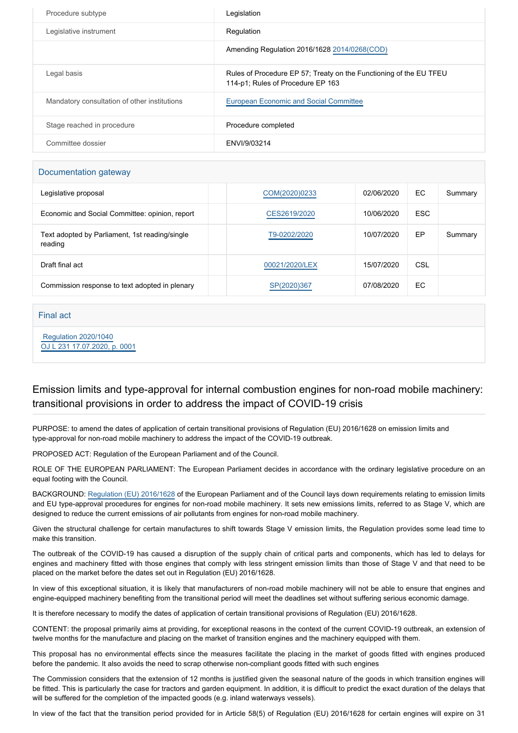| Procedure subtype                            | Legislation                                                                                             |
|----------------------------------------------|---------------------------------------------------------------------------------------------------------|
| Legislative instrument                       | Regulation                                                                                              |
|                                              | Amending Regulation 2016/1628 2014/0268(COD)                                                            |
| Legal basis                                  | Rules of Procedure EP 57; Treaty on the Functioning of the EU TFEU<br>114-p1; Rules of Procedure EP 163 |
| Mandatory consultation of other institutions | European Economic and Social Committee                                                                  |
| Stage reached in procedure                   | Procedure completed                                                                                     |
| Committee dossier                            | ENVI/9/03214                                                                                            |

#### Documentation gateway

| Legislative proposal                                      | COM(2020)0233  | 02/06/2020 | EC         | Summary |
|-----------------------------------------------------------|----------------|------------|------------|---------|
| Economic and Social Committee: opinion, report            | CES2619/2020   | 10/06/2020 | <b>ESC</b> |         |
| Text adopted by Parliament, 1st reading/single<br>reading | T9-0202/2020   | 10/07/2020 | EP         | Summary |
| Draft final act                                           | 00021/2020/LEX | 15/07/2020 | CSL        |         |
| Commission response to text adopted in plenary            | SP(2020)367    | 07/08/2020 | EC         |         |

### Final act

 [Regulation 2020/1040](https://eur-lex.europa.eu/smartapi/cgi/sga_doc?smartapi!celexplus!prod!CELEXnumdoc&lg=EN&numdoc=32020R1040) [OJ L 231 17.07.2020, p. 0001](https://eur-lex.europa.eu/legal-content/EN/TXT/?uri=OJ:L:2020:231:TOC)

## Emission limits and type-approval for internal combustion engines for non-road mobile machinery: transitional provisions in order to address the impact of COVID-19 crisis

PURPOSE: to amend the dates of application of certain transitional provisions of Regulation (EU) 2016/1628 on emission limits and type-approval for non-road mobile machinery to address the impact of the COVID-19 outbreak.

PROPOSED ACT: Regulation of the European Parliament and of the Council.

ROLE OF THE EUROPEAN PARLIAMENT: The European Parliament decides in accordance with the ordinary legislative procedure on an equal footing with the Council.

BACKGROUND: [Regulation \(EU\) 2016/1628](https://oeil.secure.europarl.europa.eu/oeil/popups/ficheprocedure.do?lang=en&reference=2014/0268(COD)) of the European Parliament and of the Council lays down requirements relating to emission limits and EU type-approval procedures for engines for non-road mobile machinery. It sets new emissions limits, referred to as Stage V, which are designed to reduce the current emissions of air pollutants from engines for non-road mobile machinery.

Given the structural challenge for certain manufactures to shift towards Stage V emission limits, the Regulation provides some lead time to make this transition.

The outbreak of the COVID-19 has caused a disruption of the supply chain of critical parts and components, which has led to delays for engines and machinery fitted with those engines that comply with less stringent emission limits than those of Stage V and that need to be placed on the market before the dates set out in Regulation (EU) 2016/1628.

In view of this exceptional situation, it is likely that manufacturers of non-road mobile machinery will not be able to ensure that engines and engine-equipped machinery benefiting from the transitional period will meet the deadlines set without suffering serious economic damage.

It is therefore necessary to modify the dates of application of certain transitional provisions of Regulation (EU) 2016/1628.

CONTENT: the proposal primarily aims at providing, for exceptional reasons in the context of the current COVID-19 outbreak, an extension of twelve months for the manufacture and placing on the market of transition engines and the machinery equipped with them.

This proposal has no environmental effects since the measures facilitate the placing in the market of goods fitted with engines produced before the pandemic. It also avoids the need to scrap otherwise non-compliant goods fitted with such engines

The Commission considers that the extension of 12 months is justified given the seasonal nature of the goods in which transition engines will be fitted. This is particularly the case for tractors and garden equipment. In addition, it is difficult to predict the exact duration of the delays that will be suffered for the completion of the impacted goods (e.g. inland waterways vessels).

In view of the fact that the transition period provided for in Article 58(5) of Regulation (EU) 2016/1628 for certain engines will expire on 31